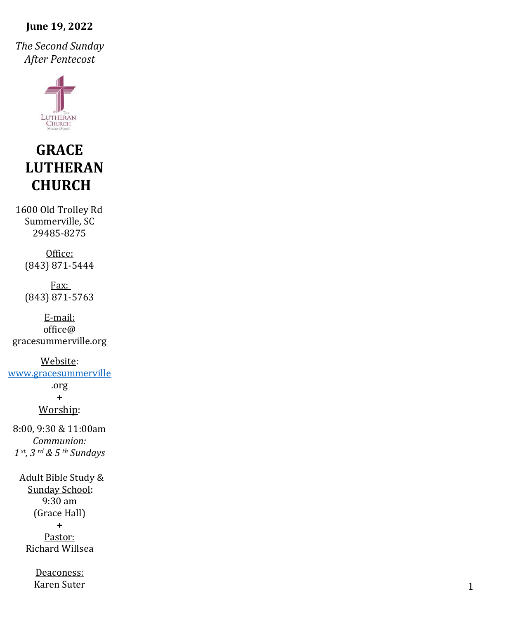#### **June 19, 2022**

*The Second Sunday After Pentecost*



# **GRACE LUTHERAN CHURCH**

1600 Old Trolley Rd Summerville, SC 29485 -8275

> Office: (843) 871 -5444

> Fax: (843) 871 -5763

E -mail: office@ gracesummerville.org

Website: [www.gracesummerville](http://www.gracesummerville/) .org**+** Worship: 8:00, 9:30 & 11:00am *Communion: 1 st, 3 rd & 5 th Sundays*

> Adult Bible Study & Sunday School: 9:30 am (Grace Hall) **+** Pastor: Richard Willsea

> > Deaconess: Karen Suter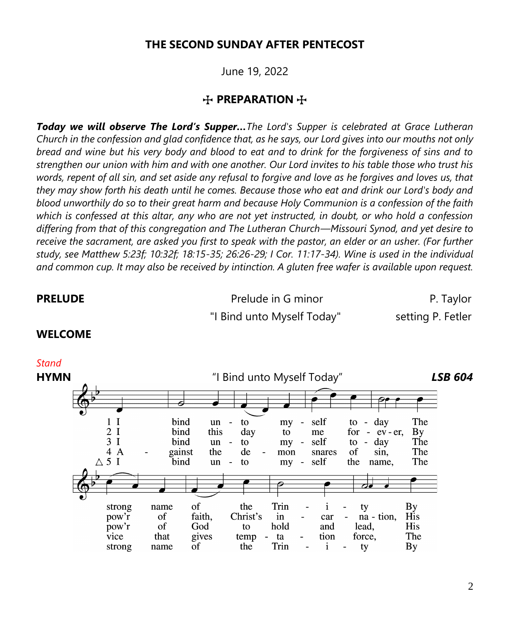#### **THE SECOND SUNDAY AFTER PENTECOST**

June 19, 2022

#### **H** PREPARATION **H**

*Today we will observe The Lord's Supper…The Lord's Supper is celebrated at Grace Lutheran Church in the confession and glad confidence that, as he says, our Lord gives into our mouths not only bread and wine but his very body and blood to eat and to drink for the forgiveness of sins and to strengthen our union with him and with one another. Our Lord invites to his table those who trust his words, repent of all sin, and set aside any refusal to forgive and love as he forgives and loves us, that they may show forth his death until he comes. Because those who eat and drink our Lord's body and blood unworthily do so to their great harm and because Holy Communion is a confession of the faith which is confessed at this altar, any who are not yet instructed, in doubt, or who hold a confession differing from that of this congregation and The Lutheran Church—Missouri Synod, and yet desire to receive the sacrament, are asked you first to speak with the pastor, an elder or an usher. (For further study, see Matthew 5:23f; 10:32f; 18:15-35; 26:26-29; I Cor. 11:17-34). Wine is used in the individual and common cup. It may also be received by intinction. A gluten free wafer is available upon request.*

**PRELUDE** Prelude in G minor P. Taylor "I Bind unto Myself Today" setting P. Fetler

#### **WELCOME**

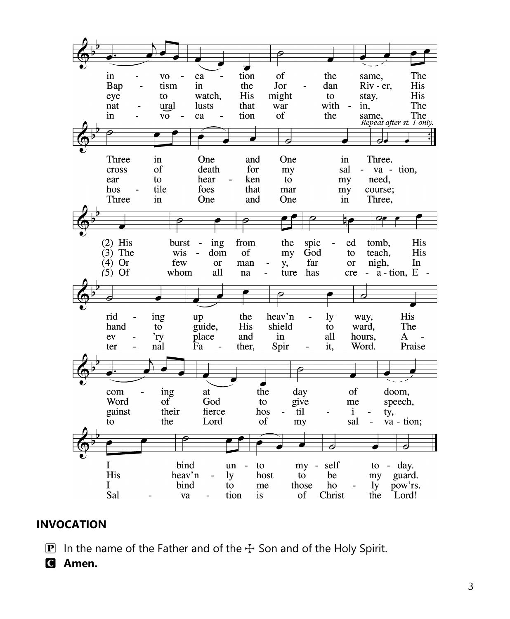

### **INVOCATION**

**P** In the name of the Father and of the  $\pm$  Son and of the Holy Spirit.

C **Amen.**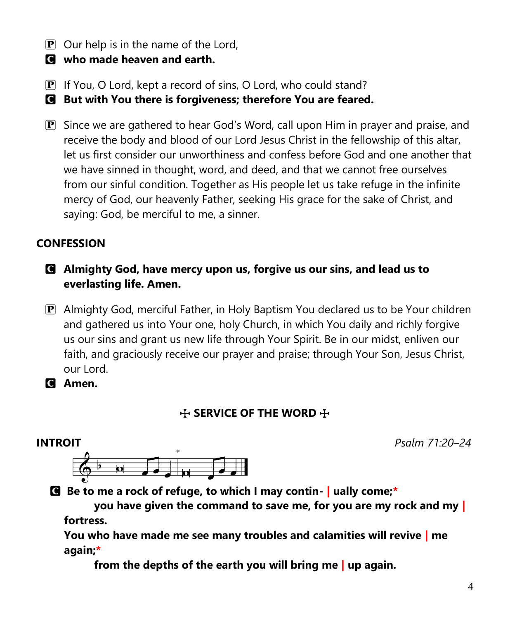- $\mathbf{P}$  Our help is in the name of the Lord,
- C **who made heaven and earth.**
- P If You, O Lord, kept a record of sins, O Lord, who could stand?

C **But with You there is forgiveness; therefore You are feared.**

P Since we are gathered to hear God's Word, call upon Him in prayer and praise, and receive the body and blood of our Lord Jesus Christ in the fellowship of this altar, let us first consider our unworthiness and confess before God and one another that we have sinned in thought, word, and deed, and that we cannot free ourselves from our sinful condition. Together as His people let us take refuge in the infinite mercy of God, our heavenly Father, seeking His grace for the sake of Christ, and saying: God, be merciful to me, a sinner.

# **CONFESSION**

- C **Almighty God, have mercy upon us, forgive us our sins, and lead us to everlasting life. Amen.**
- P Almighty God, merciful Father, in Holy Baptism You declared us to be Your children and gathered us into Your one, holy Church, in which You daily and richly forgive us our sins and grant us new life through Your Spirit. Be in our midst, enliven our faith, and graciously receive our prayer and praise; through Your Son, Jesus Christ, our Lord.

C **Amen.**

# **THE WORD THE SERVICE OF THE WORD THE**



C **Be to me a rock of refuge, to which I may contin- | ually come;\***

**you have given the command to save me, for you are my rock and my | fortress.**

**You who have made me see many troubles and calamities will revive | me again;\***

**from the depths of the earth you will bring me | up again.**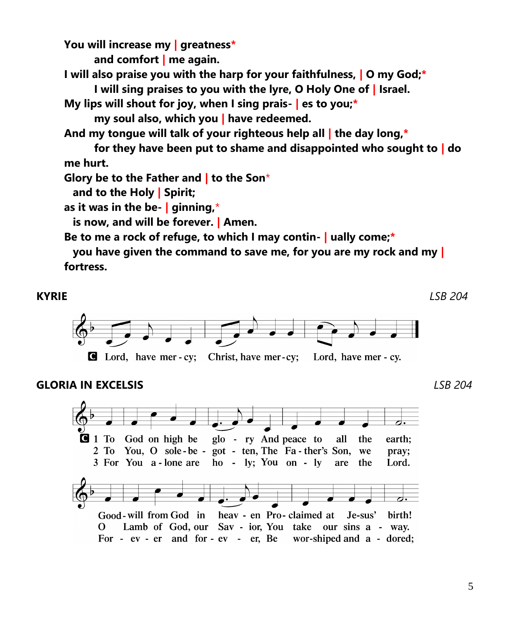**You will increase my | greatness\***

**and comfort | me again.**

**I will also praise you with the harp for your faithfulness, | O my God;\* I will sing praises to you with the lyre, O Holy One of | Israel.**

**My lips will shout for joy, when I sing prais- | es to you;\***

**my soul also, which you | have redeemed.**

**And my tongue will talk of your righteous help all | the day long,\***

**for they have been put to shame and disappointed who sought to | do me hurt.**

**Glory be to the Father and | to the Son**\*

**and to the Holy | Spirit;**

**as it was in the be- | ginning,**\*

**is now, and will be forever. | Amen.**

**Be to me a rock of refuge, to which I may contin- | ually come;\***

**you have given the command to save me, for you are my rock and my | fortress.**



#### **GLORIA IN EXCELSIS** *LSB 204*

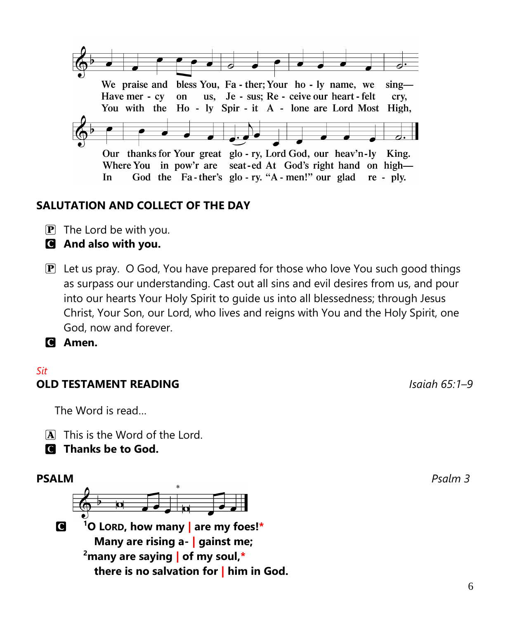

# **SALUTATION AND COLLECT OF THE DAY**

- $\mathbf{P}$  The Lord be with you.
- C **And also with you.**
- $\mathbf{P}$  Let us pray. O God, You have prepared for those who love You such good things as surpass our understanding. Cast out all sins and evil desires from us, and pour into our hearts Your Holy Spirit to guide us into all blessedness; through Jesus Christ, Your Son, our Lord, who lives and reigns with You and the Holy Spirit, one God, now and forever.

C **Amen.**

## *Sit* **OLD TESTAMENT READING** *Isaiah 65:1–9*

The Word is read…

 $\overline{A}$  This is the Word of the Lord.

C **Thanks be to God.**

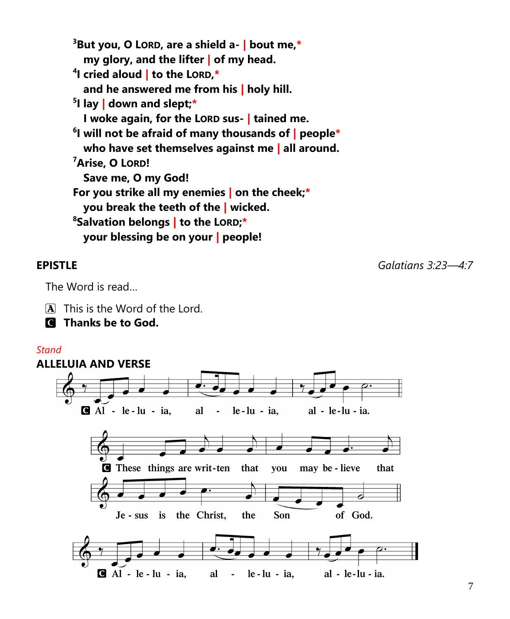**<sup>3</sup>But you, O LORD, are a shield a- | bout me,\* my glory, and the lifter | of my head.**

**4 I cried aloud | to the LORD,\***

**and he answered me from his | holy hill.**

**5 I lay | down and slept;\***

**I woke again, for the LORD sus- | tained me.**

**6 I will not be afraid of many thousands of | people\* who have set themselves against me | all around. <sup>7</sup>Arise, O LORD!**

**Save me, O my God!**

**For you strike all my enemies | on the cheek;\***

**you break the teeth of the | wicked.**

**<sup>8</sup>Salvation belongs | to the LORD;\***

**your blessing be on your | people!**

**EPISTLE** *Galatians 3:23—4:7*

The Word is read…

 $\overline{A}$  This is the Word of the Lord.

C **Thanks be to God.**

#### *Stand*

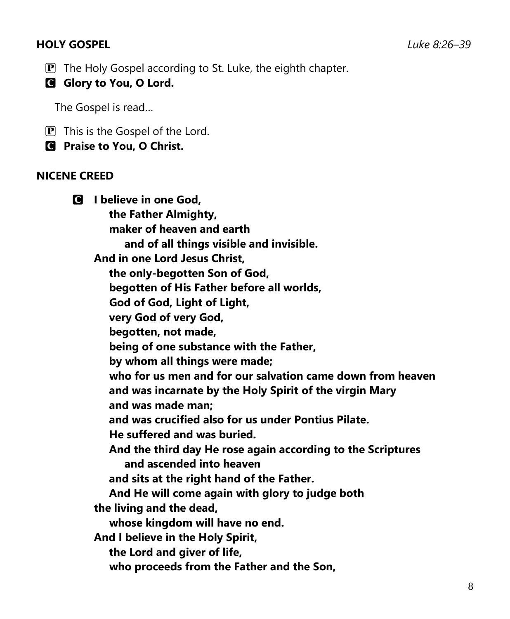# **HOLY GOSPEL** *Luke 8:26–39*

- $\mathbf{P}$  The Holy Gospel according to St. Luke, the eighth chapter.
- **G** Glory to You, O Lord.

The Gospel is read…

- $\boxed{\mathbf{P}}$  This is the Gospel of the Lord.
- C **Praise to You, O Christ.**

#### **NICENE CREED**

C **I believe in one God, the Father Almighty, maker of heaven and earth and of all things visible and invisible. And in one Lord Jesus Christ, the only-begotten Son of God, begotten of His Father before all worlds, God of God, Light of Light, very God of very God, begotten, not made, being of one substance with the Father, by whom all things were made; who for us men and for our salvation came down from heaven and was incarnate by the Holy Spirit of the virgin Mary and was made man; and was crucified also for us under Pontius Pilate. He suffered and was buried. And the third day He rose again according to the Scriptures and ascended into heaven and sits at the right hand of the Father. And He will come again with glory to judge both the living and the dead, whose kingdom will have no end. And I believe in the Holy Spirit, the Lord and giver of life, who proceeds from the Father and the Son,**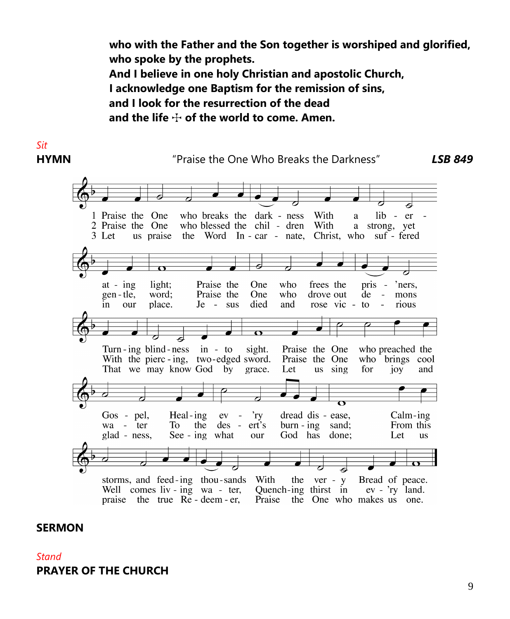**who with the Father and the Son together is worshiped and glorified, who spoke by the prophets. And I believe in one holy Christian and apostolic Church, I acknowledge one Baptism for the remission of sins, and I look for the resurrection of the dead** and the life  $\div$  of the world to come. Amen.



#### **SERMON**

*Stand* **PRAYER OF THE CHURCH**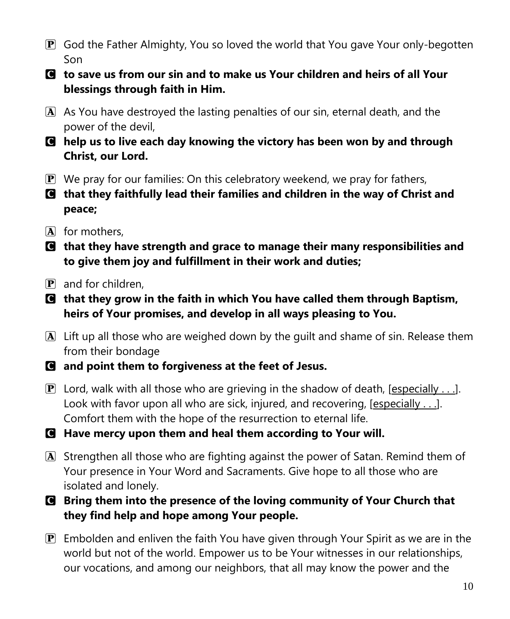- P God the Father Almighty, You so loved the world that You gave Your only-begotten Son
- C **to save us from our sin and to make us Your children and heirs of all Your blessings through faith in Him.**
- A As You have destroyed the lasting penalties of our sin, eternal death, and the power of the devil,
- C **help us to live each day knowing the victory has been won by and through Christ, our Lord.**
- $\mathbf{P}$  We pray for our families: On this celebratory weekend, we pray for fathers,
- C **that they faithfully lead their families and children in the way of Christ and peace;**
- $\overline{A}$  for mothers.
- C **that they have strength and grace to manage their many responsibilities and to give them joy and fulfillment in their work and duties;**
- $\overline{P}$  and for children,
- C **that they grow in the faith in which You have called them through Baptism, heirs of Your promises, and develop in all ways pleasing to You.**
- $\overline{A}$  Lift up all those who are weighed down by the guilt and shame of sin. Release them from their bondage
- C **and point them to forgiveness at the feet of Jesus.**
- **P** Lord, walk with all those who are grieving in the shadow of death, [especially ...]. Look with favor upon all who are sick, injured, and recovering,  $[especially ...]$ . Comfort them with the hope of the resurrection to eternal life.
- C **Have mercy upon them and heal them according to Your will.**
- A Strengthen all those who are fighting against the power of Satan. Remind them of Your presence in Your Word and Sacraments. Give hope to all those who are isolated and lonely.
- C **Bring them into the presence of the loving community of Your Church that they find help and hope among Your people.**
- $\mathbf{P}$  Embolden and enliven the faith You have given through Your Spirit as we are in the world but not of the world. Empower us to be Your witnesses in our relationships, our vocations, and among our neighbors, that all may know the power and the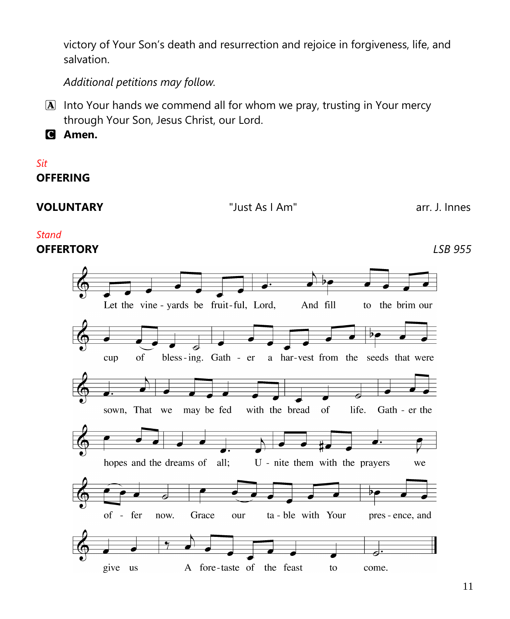victory of Your Son's death and resurrection and rejoice in forgiveness, life, and salvation.

*Additional petitions may follow.*

A Into Your hands we commend all for whom we pray, trusting in Your mercy through Your Son, Jesus Christ, our Lord.

C **Amen.**

*Sit* **OFFERING**

**VOLUNTARY** "Just As I Am" arr. J. Innes

#### *Stand*

**OFFERTORY** *LSB 955*

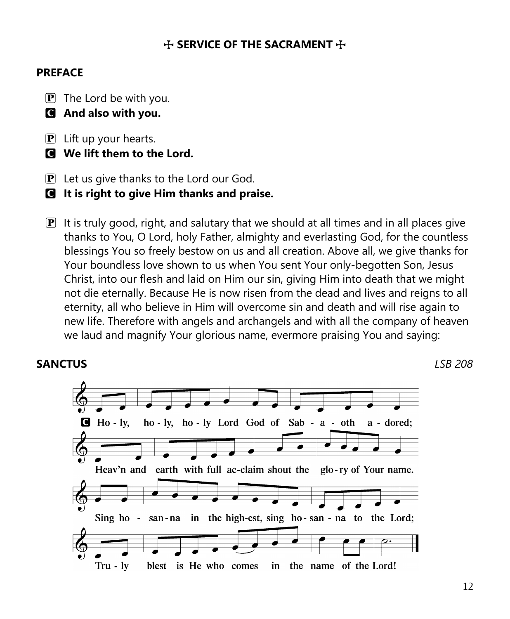# **THE SACRAMENT THE SACRAMENT THE**

#### **PREFACE**

- $\mathbf{P}$  The Lord be with you.
- C **And also with you.**
- $\mathbf{P}$  Lift up your hearts.
- C **We lift them to the Lord.**
- $\mathbf{P}$  Let us give thanks to the Lord our God.
- C **It is right to give Him thanks and praise.**
- $\mathbf{P}$  It is truly good, right, and salutary that we should at all times and in all places give thanks to You, O Lord, holy Father, almighty and everlasting God, for the countless blessings You so freely bestow on us and all creation. Above all, we give thanks for Your boundless love shown to us when You sent Your only-begotten Son, Jesus Christ, into our flesh and laid on Him our sin, giving Him into death that we might not die eternally. Because He is now risen from the dead and lives and reigns to all eternity, all who believe in Him will overcome sin and death and will rise again to new life. Therefore with angels and archangels and with all the company of heaven we laud and magnify Your glorious name, evermore praising You and saying:

### **SANCTUS** *LSB 208*

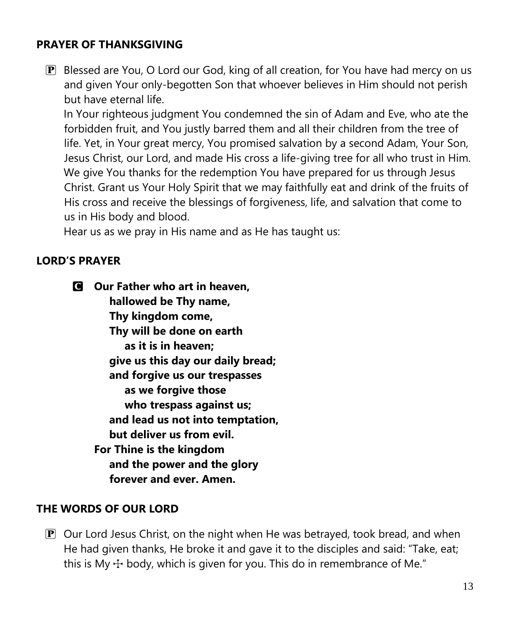# **PRAYER OF THANKSGIVING**

 $\mathbf{P}$  Blessed are You, O Lord our God, king of all creation, for You have had mercy on us and given Your only-begotten Son that whoever believes in Him should not perish but have eternal life.

In Your righteous judgment You condemned the sin of Adam and Eve, who ate the forbidden fruit, and You justly barred them and all their children from the tree of life. Yet, in Your great mercy, You promised salvation by a second Adam, Your Son, Jesus Christ, our Lord, and made His cross a life-giving tree for all who trust in Him. We give You thanks for the redemption You have prepared for us through Jesus Christ. Grant us Your Holy Spirit that we may faithfully eat and drink of the fruits of His cross and receive the blessings of forgiveness, life, and salvation that come to us in His body and blood.

Hear us as we pray in His name and as He has taught us:

### **LORD'S PRAYER**

C **Our Father who art in heaven, hallowed be Thy name, Thy kingdom come, Thy will be done on earth as it is in heaven; give us this day our daily bread; and forgive us our trespasses as we forgive those who trespass against us; and lead us not into temptation, but deliver us from evil. For Thine is the kingdom and the power and the glory forever and ever. Amen.**

### **THE WORDS OF OUR LORD**

 $\mathbf{P}$  Our Lord Jesus Christ, on the night when He was betrayed, took bread, and when He had given thanks, He broke it and gave it to the disciples and said: "Take, eat; this is My  $\pm$  body, which is given for you. This do in remembrance of Me."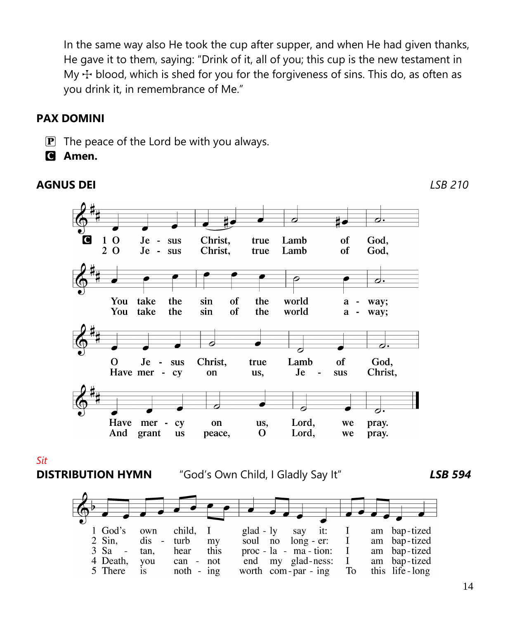In the same way also He took the cup after supper, and when He had given thanks, He gave it to them, saying: "Drink of it, all of you; this cup is the new testament in My  $\pm$  blood, which is shed for you for the forgiveness of sins. This do, as often as you drink it, in remembrance of Me."

# **PAX DOMINI**

- $\mathbf{P}$  The peace of the Lord be with you always.
- C **Amen.**

# **AGNUS DEI** *LSB 210*

*Sit*



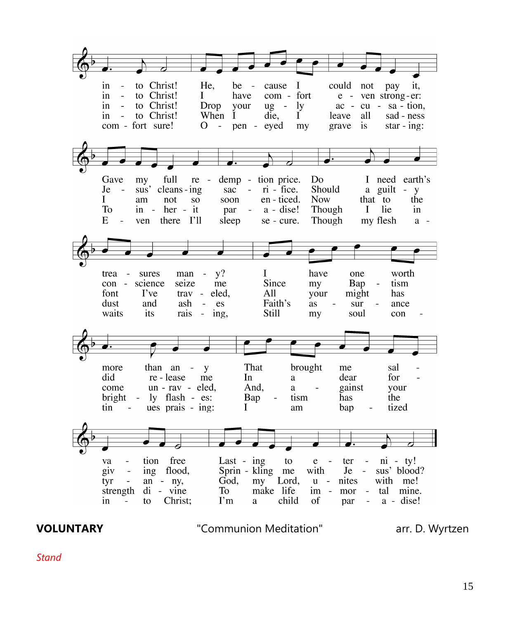to Christ! in  $\sim$ He, be cause I could not pay it. to Christ! com - fort  $\sim$  $\mathbf{I}$ in have e - ven strong-er: in. to Christ! Drop your  $\lg - \lg$  $ac - cu - sa - tion$ , in - to Christ! When I die, Ī. leave all sad - ness com - fort sure!  $O - 1$ pen eyed grave is star -  $ing:$ my Gave full demp - tion price. D<sub>0</sub> I need earth's my re - $Je$ sus' cleans-ing  $sac - ri$  - fice. Should a guilt - y en - ticed. **Now** that to the L am not SO. soon To  $in - her - it$  $a - disc!$ Though  $\mathbf{I}$ lie par  $in$  $E$ ven there I'll Though my flesh  $\sim$ sleep se - cure.  $a$ man -  $v$ ? L have worth trea - sures one Since con - science seize me my Bap tism trav - eled, font I've All your might has dust and ash - es Faith's as sur ance waits its rais -  $ing$ , Still my soul con than  $an - y$ That brought more me sal did re-lease me  $In$ dear for a un - rav - eled, come And. gainst your a  $bright$ ly flash - es: Bap tism has the ues prais - ing: tized tin I bap  $\mathbf{r}$ am tion free Last -  $ing$ to  $ni - ty!$ va  $\frac{1}{2}$  $e$ ter sus' blood? giv ing flood, Sprin - kling me with  $Je \sim$ tyr an  $-$  ny, God, my Lord,  $u$ nites with me!  $di - vine$ **To** make life im tal mine. strength mor  $\sim$   $-$ Christ;  $\Gamma$ m child  $a - disc!$ in to a of  $\sim$ par  $\Box$ 

**VOLUNTARY** "Communion Meditation" arr. D. Wyrtzen

*Stand*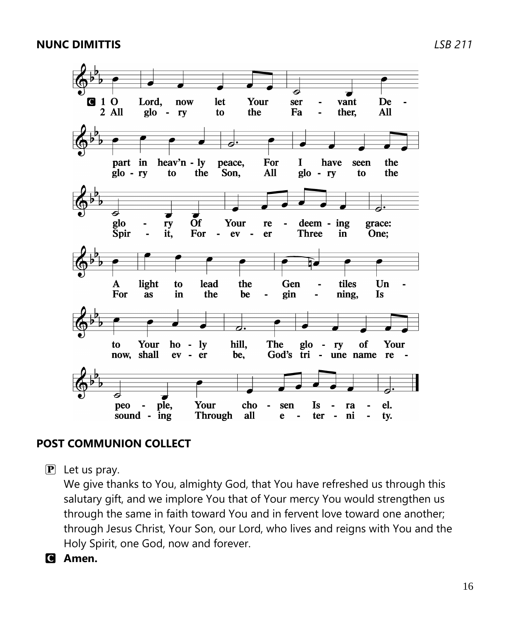

# **POST COMMUNION COLLECT**

 $\mathbf{P}$  Let us pray.

We give thanks to You, almighty God, that You have refreshed us through this salutary gift, and we implore You that of Your mercy You would strengthen us through the same in faith toward You and in fervent love toward one another; through Jesus Christ, Your Son, our Lord, who lives and reigns with You and the Holy Spirit, one God, now and forever.

C **Amen.**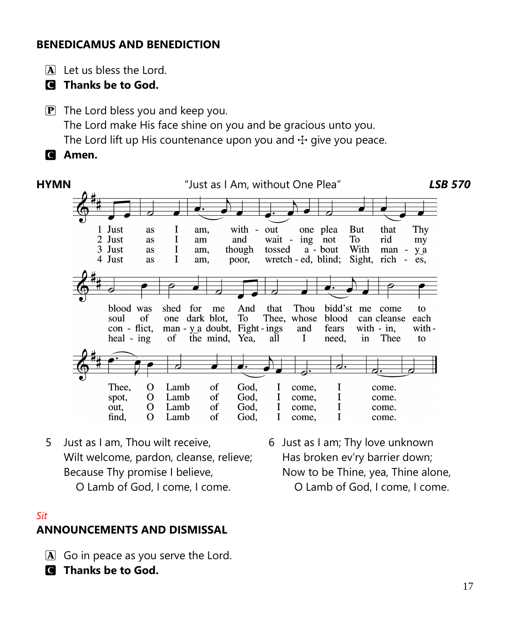# **BENEDICAMUS AND BENEDICTION**

 $\overline{A}$  Let us bless the Lord.

C **Thanks be to God.**

 $\mathbf{P}$  The Lord bless you and keep you. The Lord make His face shine on you and be gracious unto you. The Lord lift up His countenance upon you and  $\pm$  give you peace. C **Amen.**



5 Just as I am, Thou wilt receive, Wilt welcome, pardon, cleanse, relieve; Because Thy promise I believe,

O Lamb of God, I come, I come.

*Sit*

# **ANNOUNCEMENTS AND DISMISSAL**

- $\boxed{\mathbf{A}}$  Go in peace as you serve the Lord.
- C **Thanks be to God.**

6 Just as I am; Thy love unknown Has broken ev'ry barrier down; Now to be Thine, yea, Thine alone, O Lamb of God, I come, I come.